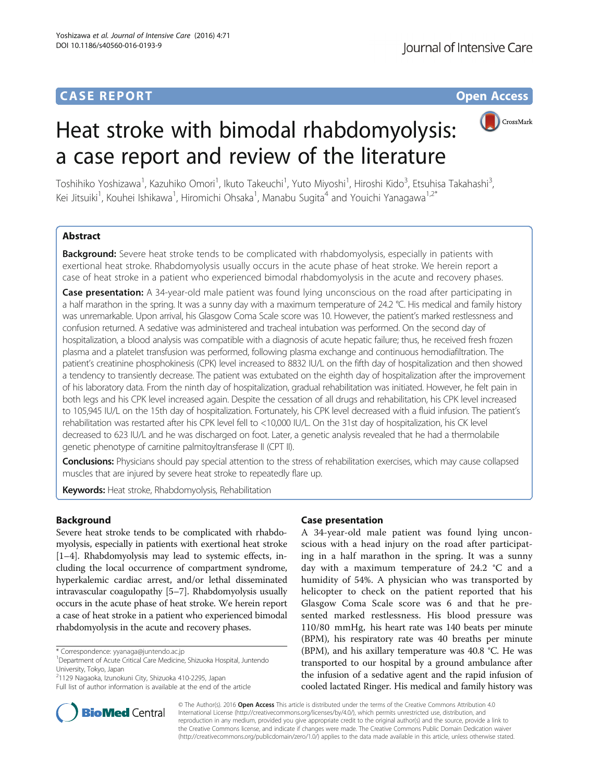## **CASE REPORT CASE REPORT Open Access**



# Heat stroke with bimodal rhabdomyolysis: a case report and review of the literature

Toshihiko Yoshizawa<sup>1</sup>, Kazuhiko Omori<sup>1</sup>, Ikuto Takeuchi<sup>1</sup>, Yuto Miyoshi<sup>1</sup>, Hiroshi Kido<sup>3</sup>, Etsuhisa Takahashi<sup>3</sup> , Kei Jitsuiki<sup>1</sup>, Kouhei Ishikawa<sup>1</sup>, Hiromichi Ohsaka<sup>1</sup>, Manabu Sugita<sup>4</sup> and Youichi Yanagawa<sup>1,2\*</sup>

## Abstract

Background: Severe heat stroke tends to be complicated with rhabdomyolysis, especially in patients with exertional heat stroke. Rhabdomyolysis usually occurs in the acute phase of heat stroke. We herein report a case of heat stroke in a patient who experienced bimodal rhabdomyolysis in the acute and recovery phases.

Case presentation: A 34-year-old male patient was found lying unconscious on the road after participating in a half marathon in the spring. It was a sunny day with a maximum temperature of 24.2 °C. His medical and family history was unremarkable. Upon arrival, his Glasgow Coma Scale score was 10. However, the patient's marked restlessness and confusion returned. A sedative was administered and tracheal intubation was performed. On the second day of hospitalization, a blood analysis was compatible with a diagnosis of acute hepatic failure; thus, he received fresh frozen plasma and a platelet transfusion was performed, following plasma exchange and continuous hemodiafiltration. The patient's creatinine phosphokinesis (CPK) level increased to 8832 IU/L on the fifth day of hospitalization and then showed a tendency to transiently decrease. The patient was extubated on the eighth day of hospitalization after the improvement of his laboratory data. From the ninth day of hospitalization, gradual rehabilitation was initiated. However, he felt pain in both legs and his CPK level increased again. Despite the cessation of all drugs and rehabilitation, his CPK level increased to 105,945 IU/L on the 15th day of hospitalization. Fortunately, his CPK level decreased with a fluid infusion. The patient's rehabilitation was restarted after his CPK level fell to <10,000 IU/L. On the 31st day of hospitalization, his CK level decreased to 623 IU/L and he was discharged on foot. Later, a genetic analysis revealed that he had a thermolabile genetic phenotype of carnitine palmitoyltransferase II (CPT II).

Conclusions: Physicians should pay special attention to the stress of rehabilitation exercises, which may cause collapsed muscles that are injured by severe heat stroke to repeatedly flare up.

Keywords: Heat stroke, Rhabdomyolysis, Rehabilitation

## Background

Severe heat stroke tends to be complicated with rhabdomyolysis, especially in patients with exertional heat stroke [[1](#page-4-0)–[4](#page-4-0)]. Rhabdomyolysis may lead to systemic effects, including the local occurrence of compartment syndrome, hyperkalemic cardiac arrest, and/or lethal disseminated intravascular coagulopathy [[5](#page-4-0)–[7](#page-4-0)]. Rhabdomyolysis usually occurs in the acute phase of heat stroke. We herein report a case of heat stroke in a patient who experienced bimodal rhabdomyolysis in the acute and recovery phases.

## Case presentation

A 34-year-old male patient was found lying unconscious with a head injury on the road after participating in a half marathon in the spring. It was a sunny day with a maximum temperature of 24.2 °C and a humidity of 54%. A physician who was transported by helicopter to check on the patient reported that his Glasgow Coma Scale score was 6 and that he presented marked restlessness. His blood pressure was 110/80 mmHg, his heart rate was 140 beats per minute (BPM), his respiratory rate was 40 breaths per minute (BPM), and his axillary temperature was 40.8 °C. He was transported to our hospital by a ground ambulance after the infusion of a sedative agent and the rapid infusion of cooled lactated Ringer. His medical and family history was



© The Author(s). 2016 Open Access This article is distributed under the terms of the Creative Commons Attribution 4.0 International License [\(http://creativecommons.org/licenses/by/4.0/](http://creativecommons.org/licenses/by/4.0/)), which permits unrestricted use, distribution, and reproduction in any medium, provided you give appropriate credit to the original author(s) and the source, provide a link to the Creative Commons license, and indicate if changes were made. The Creative Commons Public Domain Dedication waiver [\(http://creativecommons.org/publicdomain/zero/1.0/](http://creativecommons.org/publicdomain/zero/1.0/)) applies to the data made available in this article, unless otherwise stated.

<sup>\*</sup> Correspondence: [yyanaga@juntendo.ac.jp](mailto:yyanaga@juntendo.ac.jp) <sup>1</sup>

<sup>&</sup>lt;sup>1</sup>Department of Acute Critical Care Medicine, Shizuoka Hospital, Juntendo University, Tokyo, Japan

<sup>2</sup> 1129 Nagaoka, Izunokuni City, Shizuoka 410-2295, Japan

Full list of author information is available at the end of the article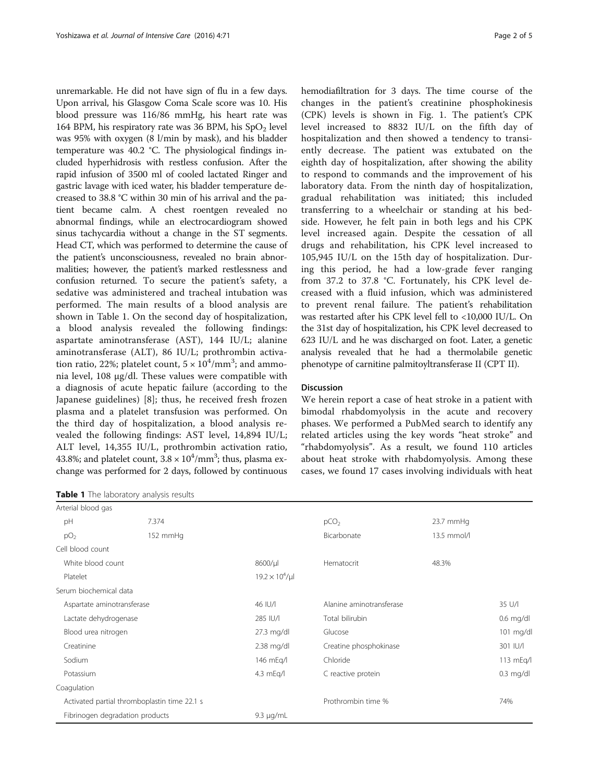unremarkable. He did not have sign of flu in a few days. Upon arrival, his Glasgow Coma Scale score was 10. His blood pressure was 116/86 mmHg, his heart rate was 164 BPM, his respiratory rate was 36 BPM, his  $SpO<sub>2</sub>$  level was 95% with oxygen (8 l/min by mask), and his bladder temperature was 40.2 °C. The physiological findings included hyperhidrosis with restless confusion. After the rapid infusion of 3500 ml of cooled lactated Ringer and gastric lavage with iced water, his bladder temperature decreased to 38.8 °C within 30 min of his arrival and the patient became calm. A chest roentgen revealed no abnormal findings, while an electrocardiogram showed sinus tachycardia without a change in the ST segments. Head CT, which was performed to determine the cause of the patient's unconsciousness, revealed no brain abnormalities; however, the patient's marked restlessness and confusion returned. To secure the patient's safety, a sedative was administered and tracheal intubation was performed. The main results of a blood analysis are shown in Table 1. On the second day of hospitalization, a blood analysis revealed the following findings: aspartate aminotransferase (AST), 144 IU/L; alanine aminotransferase (ALT), 86 IU/L; prothrombin activation ratio, 22%; platelet count,  $5 \times 10^4/\text{mm}^3$ ; and ammonia level, 108 μg/dl. These values were compatible with a diagnosis of acute hepatic failure (according to the Japanese guidelines) [[8\]](#page-4-0); thus, he received fresh frozen plasma and a platelet transfusion was performed. On the third day of hospitalization, a blood analysis revealed the following findings: AST level, 14,894 IU/L; ALT level, 14,355 IU/L, prothrombin activation ratio, 43.8%; and platelet count,  $3.8 \times 10^4/\mathrm{mm}^3$ ; thus, plasma exchange was performed for 2 days, followed by continuous

| Table 1 The laboratory analysis results |  |
|-----------------------------------------|--|
|-----------------------------------------|--|

hemodiafiltration for 3 days. The time course of the changes in the patient's creatinine phosphokinesis (CPK) levels is shown in Fig. [1](#page-2-0). The patient's CPK level increased to 8832 IU/L on the fifth day of hospitalization and then showed a tendency to transiently decrease. The patient was extubated on the eighth day of hospitalization, after showing the ability to respond to commands and the improvement of his laboratory data. From the ninth day of hospitalization, gradual rehabilitation was initiated; this included transferring to a wheelchair or standing at his bedside. However, he felt pain in both legs and his CPK level increased again. Despite the cessation of all drugs and rehabilitation, his CPK level increased to 105,945 IU/L on the 15th day of hospitalization. During this period, he had a low-grade fever ranging from 37.2 to 37.8 °C. Fortunately, his CPK level decreased with a fluid infusion, which was administered to prevent renal failure. The patient's rehabilitation was restarted after his CPK level fell to <10,000 IU/L. On the 31st day of hospitalization, his CPK level decreased to 623 IU/L and he was discharged on foot. Later, a genetic analysis revealed that he had a thermolabile genetic phenotype of carnitine palmitoyltransferase II (CPT II).

### Discussion

We herein report a case of heat stroke in a patient with bimodal rhabdomyolysis in the acute and recovery phases. We performed a PubMed search to identify any related articles using the key words "heat stroke" and "rhabdomyolysis". As a result, we found 110 articles about heat stroke with rhabdomyolysis. Among these cases, we found 17 cases involving individuals with heat

| Arterial blood gas         |                                              |                        |                          |             |     |  |
|----------------------------|----------------------------------------------|------------------------|--------------------------|-------------|-----|--|
| pH                         | 7.374                                        |                        | pCO <sub>2</sub>         | $23.7$ mmHq |     |  |
| pO <sub>2</sub>            | 152 mmHg                                     |                        | Bicarbonate              | 13.5 mmol/l |     |  |
| Cell blood count           |                                              |                        |                          |             |     |  |
| White blood count          |                                              | 8600/µl                | Hematocrit               | 48.3%       |     |  |
| Platelet                   |                                              | $19.2 \times 10^4$ /µl |                          |             |     |  |
| Serum biochemical data     |                                              |                        |                          |             |     |  |
| Aspartate aminotransferase |                                              | 46 IU/I                | Alanine aminotransferase |             |     |  |
| Lactate dehydrogenase      |                                              | 285 IU/I               | Total bilirubin          | $0.6$ mg/dl |     |  |
| Blood urea nitrogen        |                                              | 27.3 mg/dl             | Glucose                  | 101 mg/dl   |     |  |
| Creatinine                 |                                              | 2.38 mg/dl             | Creatine phosphokinase   |             |     |  |
| Sodium                     |                                              | 146 mEg/l              | Chloride                 |             |     |  |
| Potassium                  |                                              | 4.3 mEg/l              | C reactive protein       | $0.3$ mg/dl |     |  |
| Coagulation                |                                              |                        |                          |             |     |  |
|                            | Activated partial thromboplastin time 22.1 s |                        | Prothrombin time %       |             | 74% |  |
|                            | Fibrinogen degradation products              | 9.3 $\mu$ g/mL         |                          |             |     |  |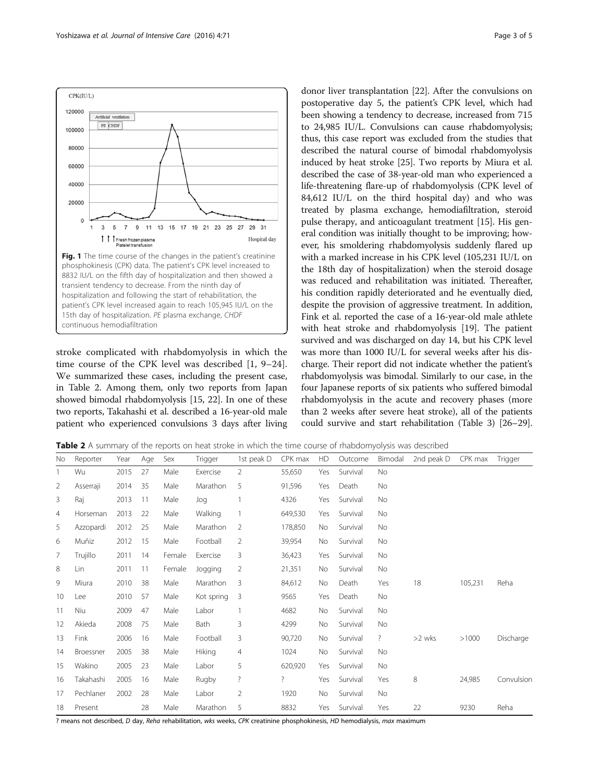<span id="page-2-0"></span>

stroke complicated with rhabdomyolysis in which the time course of the CPK level was described [[1, 9](#page-4-0)–[24](#page-4-0)]. We summarized these cases, including the present case, in Table 2. Among them, only two reports from Japan showed bimodal rhabdomyolysis [\[15, 22\]](#page-4-0). In one of these two reports, Takahashi et al. described a 16-year-old male patient who experienced convulsions 3 days after living

donor liver transplantation [[22](#page-4-0)]. After the convulsions on postoperative day 5, the patient's CPK level, which had been showing a tendency to decrease, increased from 715 to 24,985 IU/L. Convulsions can cause rhabdomyolysis; thus, this case report was excluded from the studies that described the natural course of bimodal rhabdomyolysis induced by heat stroke [\[25\]](#page-4-0). Two reports by Miura et al. described the case of 38-year-old man who experienced a life-threatening flare-up of rhabdomyolysis (CPK level of 84,612 IU/L on the third hospital day) and who was treated by plasma exchange, hemodiafiltration, steroid pulse therapy, and anticoagulant treatment [[15](#page-4-0)]. His general condition was initially thought to be improving; however, his smoldering rhabdomyolysis suddenly flared up with a marked increase in his CPK level (105,231 IU/L on the 18th day of hospitalization) when the steroid dosage was reduced and rehabilitation was initiated. Thereafter, his condition rapidly deteriorated and he eventually died, despite the provision of aggressive treatment. In addition, Fink et al. reported the case of a 16-year-old male athlete with heat stroke and rhabdomyolysis [[19](#page-4-0)]. The patient survived and was discharged on day 14, but his CPK level was more than 1000 IU/L for several weeks after his discharge. Their report did not indicate whether the patient's rhabdomyolysis was bimodal. Similarly to our case, in the four Japanese reports of six patients who suffered bimodal rhabdomyolysis in the acute and recovery phases (more than 2 weeks after severe heat stroke), all of the patients could survive and start rehabilitation (Table [3\)](#page-3-0) [\[26](#page-4-0)–[29](#page-4-0)].

Table 2 A summary of the reports on heat stroke in which the time course of rhabdomyolysis was described

| No | Reporter  | Year | Age | Sex    | Trigger    | 1st peak D     | CPK max        | HD  | Outcome  | Bimodal        | 2nd peak D | CPK max | Trigger    |
|----|-----------|------|-----|--------|------------|----------------|----------------|-----|----------|----------------|------------|---------|------------|
|    | Wu        | 2015 | 27  | Male   | Exercise   | 2              | 55,650         | Yes | Survival | No             |            |         |            |
| 2  | Asserraji | 2014 | 35  | Male   | Marathon   | 5              | 91,596         | Yes | Death    | No             |            |         |            |
| 3  | Raj       | 2013 | 11  | Male   | Jog        |                | 4326           | Yes | Survival | No             |            |         |            |
| 4  | Horseman  | 2013 | 22  | Male   | Walking    | $\mathbf{1}$   | 649,530        | Yes | Survival | No             |            |         |            |
| 5  | Azzopardi | 2012 | 25  | Male   | Marathon   | 2              | 178,850        | No  | Survival | No             |            |         |            |
| 6  | Muñiz     | 2012 | 15  | Male   | Football   | $\overline{2}$ | 39,954         | No  | Survival | No             |            |         |            |
| 7  | Trujillo  | 2011 | 14  | Female | Exercise   | 3              | 36,423         | Yes | Survival | No             |            |         |            |
| 8  | Lin       | 2011 | 11  | Female | Jogging    | 2              | 21,351         | No  | Survival | No             |            |         |            |
| 9  | Miura     | 2010 | 38  | Male   | Marathon   | 3              | 84,612         | No  | Death    | Yes            | 18         | 105,231 | Reha       |
| 10 | Lee       | 2010 | 57  | Male   | Kot spring | 3              | 9565           | Yes | Death    | No             |            |         |            |
| 11 | Niu       | 2009 | 47  | Male   | Labor      | 1              | 4682           | No  | Survival | No             |            |         |            |
| 12 | Akieda    | 2008 | 75  | Male   | Bath       | 3              | 4299           | No  | Survival | No             |            |         |            |
| 13 | Fink      | 2006 | 16  | Male   | Football   | 3              | 90,720         | No  | Survival | $\overline{?}$ | >2 wks     | >1000   | Discharge  |
| 14 | Broessner | 2005 | 38  | Male   | Hiking     | 4              | 1024           | No  | Survival | <b>No</b>      |            |         |            |
| 15 | Wakino    | 2005 | 23  | Male   | Labor      | 5              | 620,920        | Yes | Survival | No             |            |         |            |
| 16 | Takahashi | 2005 | 16  | Male   | Rugby      | ?              | $\overline{?}$ | Yes | Survival | Yes            | 8          | 24,985  | Convulsion |
| 17 | Pechlaner | 2002 | 28  | Male   | Labor      | $\overline{2}$ | 1920           | No  | Survival | No             |            |         |            |
| 18 | Present   |      | 28  | Male   | Marathon   | 5              | 8832           | Yes | Survival | Yes            | 22         | 9230    | Reha       |

? means not described, D day, Reha rehabilitation, wks weeks, CPK creatinine phosphokinesis, HD hemodialysis, max maximum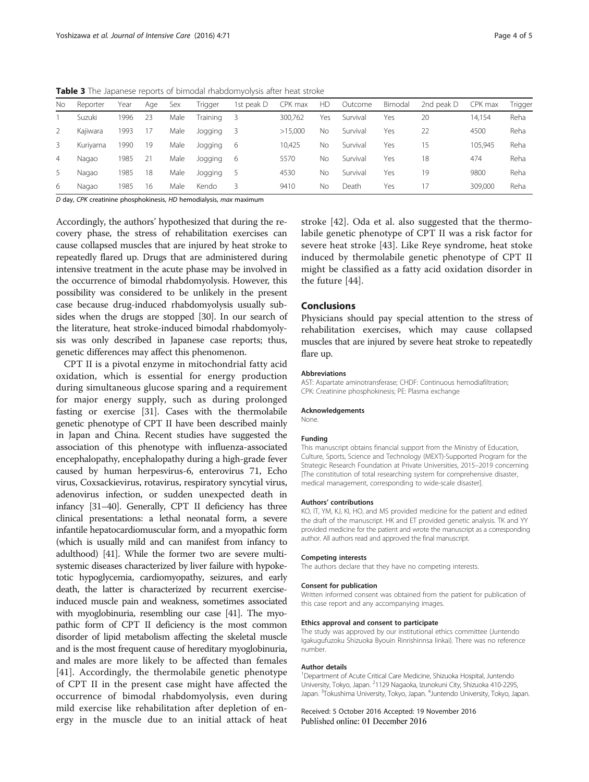<span id="page-3-0"></span>Table 3 The Japanese reports of bimodal rhabdomyolysis after heat stroke

| No | Reporter | Year | Aae            | Sex  | <b>Trigger</b> | 1st peak D | CPK max | HD  | Outcome  | Bimodal | 2nd peak D | CPK max | Trigger |
|----|----------|------|----------------|------|----------------|------------|---------|-----|----------|---------|------------|---------|---------|
|    | Suzuki   | 1996 | 23             | Male | Training       | 3          | 300,762 | Yes | Survival | Yes     | 20         | 14.154  | Reha    |
| 2  | Kajiwara | 1993 |                | Male | Jogging        | 3          | >15.000 | Νo  | Survival | Yes     | 22         | 4500    | Reha    |
| 3  | Kuriyama | 1990 | 19             | Male | Jogging        | 6          | 10.425  | Νo  | Survival | Yes     | 15         | 105,945 | Reha    |
| 4  | Nagao    | 1985 | 2 <sup>1</sup> | Male | Jogging        | 6          | 5570    | Νo  | Survival | Yes     | 18         | 474     | Reha    |
| 5. | Nagao    | 1985 | 18             | Male | Jogging        | 5          | 4530    | Νo  | Survival | Yes     | 19         | 9800    | Reha    |
| 6  | Nagao    | 1985 | 16             | Male | Kendo          | 3          | 9410    | Νo  | Death    | Yes     | 17         | 309.000 | Reha    |

D day, CPK creatinine phosphokinesis, HD hemodialysis, max maximum

Accordingly, the authors' hypothesized that during the recovery phase, the stress of rehabilitation exercises can cause collapsed muscles that are injured by heat stroke to repeatedly flared up. Drugs that are administered during intensive treatment in the acute phase may be involved in the occurrence of bimodal rhabdomyolysis. However, this possibility was considered to be unlikely in the present case because drug-induced rhabdomyolysis usually subsides when the drugs are stopped [[30](#page-4-0)]. In our search of the literature, heat stroke-induced bimodal rhabdomyolysis was only described in Japanese case reports; thus, genetic differences may affect this phenomenon.

CPT II is a pivotal enzyme in mitochondrial fatty acid oxidation, which is essential for energy production during simultaneous glucose sparing and a requirement for major energy supply, such as during prolonged fasting or exercise [\[31\]](#page-4-0). Cases with the thermolabile genetic phenotype of CPT II have been described mainly in Japan and China. Recent studies have suggested the association of this phenotype with influenza-associated encephalopathy, encephalopathy during a high-grade fever caused by human herpesvirus-6, enterovirus 71, Echo virus, Coxsackievirus, rotavirus, respiratory syncytial virus, adenovirus infection, or sudden unexpected death in infancy [\[31](#page-4-0)–[40\]](#page-4-0). Generally, CPT II deficiency has three clinical presentations: a lethal neonatal form, a severe infantile hepatocardiomuscular form, and a myopathic form (which is usually mild and can manifest from infancy to adulthood) [\[41](#page-4-0)]. While the former two are severe multisystemic diseases characterized by liver failure with hypoketotic hypoglycemia, cardiomyopathy, seizures, and early death, the latter is characterized by recurrent exerciseinduced muscle pain and weakness, sometimes associated with myoglobinuria, resembling our case [[41](#page-4-0)]. The myopathic form of CPT II deficiency is the most common disorder of lipid metabolism affecting the skeletal muscle and is the most frequent cause of hereditary myoglobinuria, and males are more likely to be affected than females [[41\]](#page-4-0). Accordingly, the thermolabile genetic phenotype of CPT II in the present case might have affected the occurrence of bimodal rhabdomyolysis, even during mild exercise like rehabilitation after depletion of energy in the muscle due to an initial attack of heat stroke [\[42](#page-4-0)]. Oda et al. also suggested that the thermolabile genetic phenotype of CPT II was a risk factor for severe heat stroke [[43\]](#page-4-0). Like Reye syndrome, heat stoke induced by thermolabile genetic phenotype of CPT II might be classified as a fatty acid oxidation disorder in the future [\[44](#page-4-0)].

## Conclusions

Physicians should pay special attention to the stress of rehabilitation exercises, which may cause collapsed muscles that are injured by severe heat stroke to repeatedly flare up.

#### Abbreviations

AST: Aspartate aminotransferase; CHDF: Continuous hemodiafiltration; CPK: Creatinine phosphokinesis; PE: Plasma exchange

#### Acknowledgements

None.

#### Funding

This manuscript obtains financial support from the Ministry of Education, Culture, Sports, Science and Technology (MEXT)-Supported Program for the Strategic Research Foundation at Private Universities, 2015–2019 concerning [The constitution of total researching system for comprehensive disaster, medical management, corresponding to wide-scale disaster].

#### Authors' contributions

KO, IT, YM, KJ, KI, HO, and MS provided medicine for the patient and edited the draft of the manuscript. HK and ET provided genetic analysis. TK and YY provided medicine for the patient and wrote the manuscript as a corresponding author. All authors read and approved the final manuscript.

#### Competing interests

The authors declare that they have no competing interests.

#### Consent for publication

Written informed consent was obtained from the patient for publication of this case report and any accompanying images.

#### Ethics approval and consent to participate

The study was approved by our institutional ethics committee (Juntendo Igakugufuzoku Shizuoka Byouin Rinrishinnsa Iinkai). There was no reference number.

#### Author details

<sup>1</sup> Department of Acute Critical Care Medicine, Shizuoka Hospital, Juntendo University, Tokyo, Japan. <sup>2</sup>1129 Nagaoka, Izunokuni City, Shizuoka 410-2295, Japan. <sup>3</sup>Tokushima University, Tokyo, Japan. <sup>4</sup>Juntendo University, Tokyo, Japan.

Received: 5 October 2016 Accepted: 19 November 2016 Published online: 01 December 2016